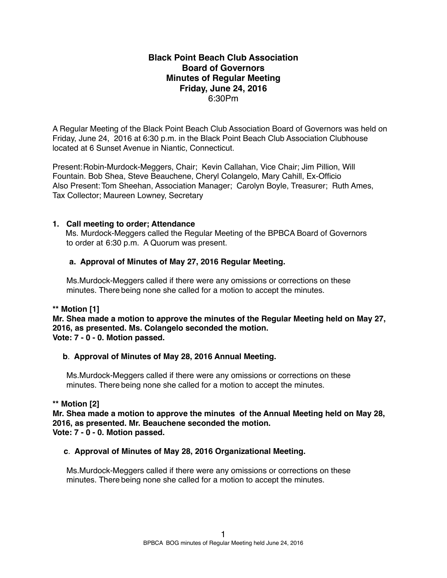# **Black Point Beach Club Association Board of Governors Minutes of Regular Meeting Friday, June 24, 2016** 6:30Pm

A Regular Meeting of the Black Point Beach Club Association Board of Governors was held on Friday, June 24, 2016 at 6:30 p.m. in the Black Point Beach Club Association Clubhouse located at 6 Sunset Avenue in Niantic, Connecticut.

Present:Robin-Murdock-Meggers, Chair; Kevin Callahan, Vice Chair; Jim Pillion, Will Fountain. Bob Shea, Steve Beauchene, Cheryl Colangelo, Mary Cahill, Ex-Officio Also Present: Tom Sheehan, Association Manager; Carolyn Boyle, Treasurer; Ruth Ames, Tax Collector; Maureen Lowney, Secretary

# **1. Call meeting to order; Attendance**

Ms. Murdock-Meggers called the Regular Meeting of the BPBCA Board of Governors to order at 6:30 p.m. A Quorum was present.

# **a. Approval of Minutes of May 27, 2016 Regular Meeting.**

Ms.Murdock-Meggers called if there were any omissions or corrections on these minutes. There being none she called for a motion to accept the minutes.

# **\*\* Motion [1]**

**Mr. Shea made a motion to approve the minutes of the Regular Meeting held on May 27, 2016, as presented. Ms. Colangelo seconded the motion. Vote: 7 - 0 - 0. Motion passed.**

# **b**. **Approval of Minutes of May 28, 2016 Annual Meeting.**

Ms.Murdock-Meggers called if there were any omissions or corrections on these minutes. There being none she called for a motion to accept the minutes.

## **\*\* Motion [2]**

**Mr. Shea made a motion to approve the minutes of the Annual Meeting held on May 28, 2016, as presented. Mr. Beauchene seconded the motion. Vote: 7 - 0 - 0. Motion passed.**

# **c**. **Approval of Minutes of May 28, 2016 Organizational Meeting.**

Ms.Murdock-Meggers called if there were any omissions or corrections on these minutes. There being none she called for a motion to accept the minutes.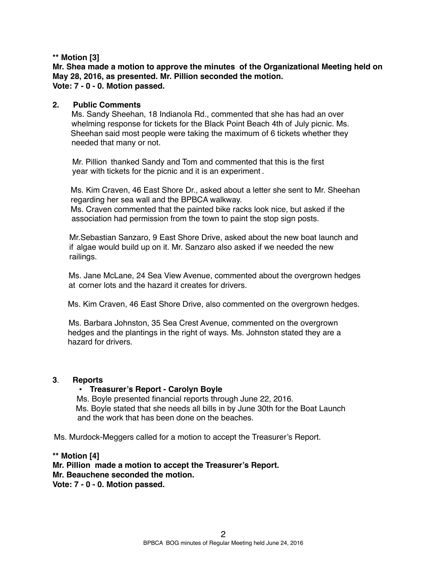# **\*\* Motion [3]**

**Mr. Shea made a motion to approve the minutes of the Organizational Meeting held on May 28, 2016, as presented. Mr. Pillion seconded the motion. Vote: 7 - 0 - 0. Motion passed.**

## **2. Public Comments**

Ms. Sandy Sheehan, 18 Indianola Rd., commented that she has had an over whelming response for tickets for the Black Point Beach 4th of July picnic. Ms. Sheehan said most people were taking the maximum of 6 tickets whether they needed that many or not.

Mr. Pillion thanked Sandy and Tom and commented that this is the first year with tickets for the picnic and it is an experiment .

 Ms. Kim Craven, 46 East Shore Dr., asked about a letter she sent to Mr. Sheehan regarding her sea wall and the BPBCA walkway.

Ms. Craven commented that the painted bike racks look nice, but asked if the association had permission from the town to paint the stop sign posts.

Mr.Sebastian Sanzaro, 9 East Shore Drive, asked about the new boat launch and if algae would build up on it. Mr. Sanzaro also asked if we needed the new railings.

Ms. Jane McLane, 24 Sea View Avenue, commented about the overgrown hedges at corner lots and the hazard it creates for drivers.

Ms. Kim Craven, 46 East Shore Drive, also commented on the overgrown hedges.

Ms. Barbara Johnston, 35 Sea Crest Avenue, commented on the overgrown hedges and the plantings in the right of ways. Ms. Johnston stated they are a hazard for drivers.

## **3**. **Reports**

## • **Treasurer's Report - Carolyn Boyle**

Ms. Boyle presented financial reports through June 22, 2016. Ms. Boyle stated that she needs all bills in by June 30th for the Boat Launch and the work that has been done on the beaches.

Ms. Murdock-Meggers called for a motion to accept the Treasurer's Report.

# **\*\* Motion [4] Mr. Pillion made a motion to accept the Treasurer's Report. Mr. Beauchene seconded the motion. Vote: 7 - 0 - 0. Motion passed.**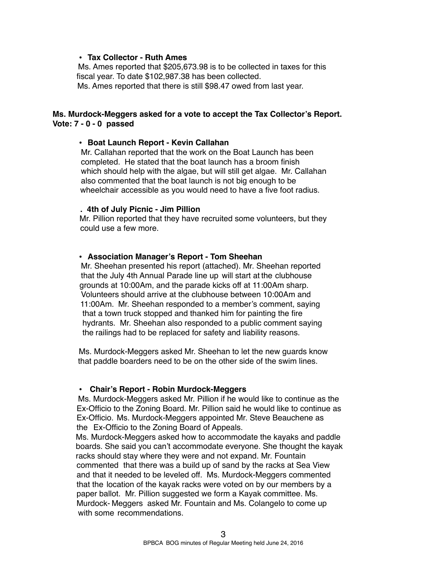## **• Tax Collector - Ruth Ames**

Ms. Ames reported that \$205,673.98 is to be collected in taxes for this fiscal year. To date \$102,987.38 has been collected. Ms. Ames reported that there is still \$98.47 owed from last year.

## **Ms. Murdock-Meggers asked for a vote to accept the Tax Collector's Report. Vote: 7 - 0 - 0 passed**

#### **• Boat Launch Report - Kevin Callahan**

Mr. Callahan reported that the work on the Boat Launch has been completed. He stated that the boat launch has a broom finish which should help with the algae, but will still get algae. Mr. Callahan also commented that the boat launch is not big enough to be wheelchair accessible as you would need to have a five foot radius.

#### **. 4th of July Picnic - Jim Pillion**

Mr. Pillion reported that they have recruited some volunteers, but they could use a few more.

#### **• Association Manager's Report - Tom Sheehan**

Mr. Sheehan presented his report (attached). Mr. Sheehan reported that the July 4th Annual Parade line up will start at the clubhouse grounds at 10:00Am, and the parade kicks off at 11:00Am sharp. Volunteers should arrive at the clubhouse between 10:00Am and 11:00Am. Mr. Sheehan responded to a member's comment, saying that a town truck stopped and thanked him for painting the fire hydrants. Mr. Sheehan also responded to a public comment saying the railings had to be replaced for safety and liability reasons.

Ms. Murdock-Meggers asked Mr. Sheehan to let the new guards know that paddle boarders need to be on the other side of the swim lines.

#### **• Chair's Report - Robin Murdock-Meggers**

Ms. Murdock-Meggers asked Mr. Pillion if he would like to continue as the Ex-Officio to the Zoning Board. Mr. Pillion said he would like to continue as Ex-Officio. Ms. Murdock-Meggers appointed Mr. Steve Beauchene as the Ex-Officio to the Zoning Board of Appeals.

Ms. Murdock-Meggers asked how to accommodate the kayaks and paddle boards. She said you can't accommodate everyone. She thought the kayak racks should stay where they were and not expand. Mr. Fountain commented that there was a build up of sand by the racks at Sea View and that it needed to be leveled off. Ms. Murdock-Meggers commented that the location of the kayak racks were voted on by our members by a paper ballot. Mr. Pillion suggested we form a Kayak committee. Ms. Murdock- Meggers asked Mr. Fountain and Ms. Colangelo to come up with some recommendations.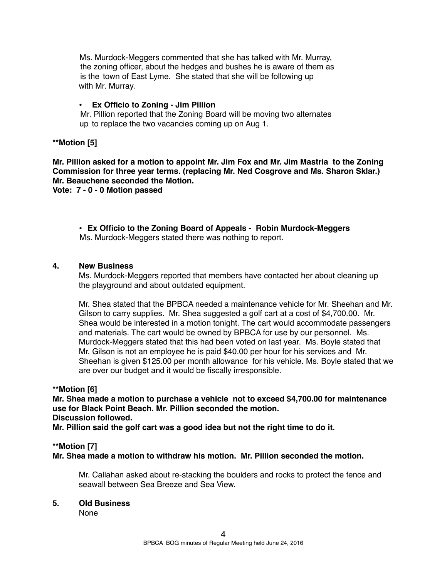Ms. Murdock-Meggers commented that she has talked with Mr. Murray, the zoning officer, about the hedges and bushes he is aware of them as is the town of East Lyme. She stated that she will be following up with Mr. Murray.

# **• Ex Officio to Zoning - Jim Pillion**

Mr. Pillion reported that the Zoning Board will be moving two alternates up to replace the two vacancies coming up on Aug 1.

# **\*\*Motion [5]**

**Mr. Pillion asked for a motion to appoint Mr. Jim Fox and Mr. Jim Mastria to the Zoning Commission for three year terms. (replacing Mr. Ned Cosgrove and Ms. Sharon Sklar.) Mr. Beauchene seconded the Motion.**

**Vote: 7 - 0 - 0 Motion passed**

• **Ex Officio to the Zoning Board of Appeals - Robin Murdock-Meggers** Ms. Murdock-Meggers stated there was nothing to report.

# **4. New Business**

Ms. Murdock-Meggers reported that members have contacted her about cleaning up the playground and about outdated equipment.

Mr. Shea stated that the BPBCA needed a maintenance vehicle for Mr. Sheehan and Mr. Gilson to carry supplies. Mr. Shea suggested a golf cart at a cost of \$4,700.00. Mr. Shea would be interested in a motion tonight. The cart would accommodate passengers and materials. The cart would be owned by BPBCA for use by our personnel. Ms. Murdock-Meggers stated that this had been voted on last year. Ms. Boyle stated that Mr. Gilson is not an employee he is paid \$40.00 per hour for his services and Mr. Sheehan is given \$125.00 per month allowance for his vehicle. Ms. Boyle stated that we are over our budget and it would be fiscally irresponsible.

## **\*\*Motion [6]**

**Mr. Shea made a motion to purchase a vehicle not to exceed \$4,700.00 for maintenance use for Black Point Beach. Mr. Pillion seconded the motion. Discussion followed.**

**Mr. Pillion said the golf cart was a good idea but not the right time to do it.**

## **\*\*Motion [7]**

**Mr. Shea made a motion to withdraw his motion. Mr. Pillion seconded the motion.**

Mr. Callahan asked about re-stacking the boulders and rocks to protect the fence and seawall between Sea Breeze and Sea View.

## **5. Old Business**

None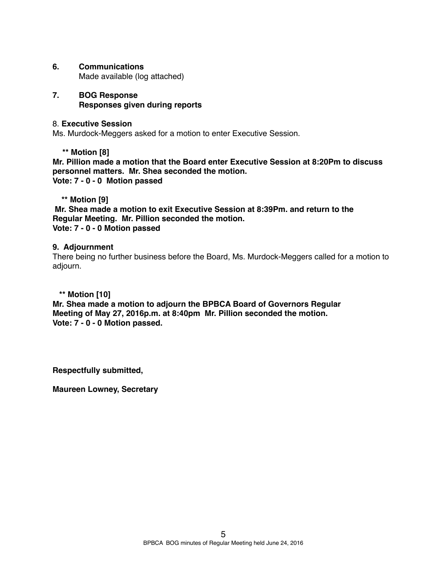# **6. Communications**

Made available (log attached)

# **7. BOG Response Responses given during reports**

# 8. **Executive Session**

Ms. Murdock-Meggers asked for a motion to enter Executive Session.

**\*\* Motion [8]**

**Mr. Pillion made a motion that the Board enter Executive Session at 8:20Pm to discuss personnel matters. Mr. Shea seconded the motion. Vote: 7 - 0 - 0 Motion passed** 

 **\*\* Motion [9]**

 **Mr. Shea made a motion to exit Executive Session at 8:39Pm. and return to the Regular Meeting. Mr. Pillion seconded the motion. Vote: 7 - 0 - 0 Motion passed**

# **9. Adjournment**

There being no further business before the Board, Ms. Murdock-Meggers called for a motion to adjourn.

# **\*\* Motion [10]**

**Mr. Shea made a motion to adjourn the BPBCA Board of Governors Regular Meeting of May 27, 2016p.m. at 8:40pm Mr. Pillion seconded the motion. Vote: 7 - 0 - 0 Motion passed.**

**Respectfully submitted,**

**Maureen Lowney, Secretary**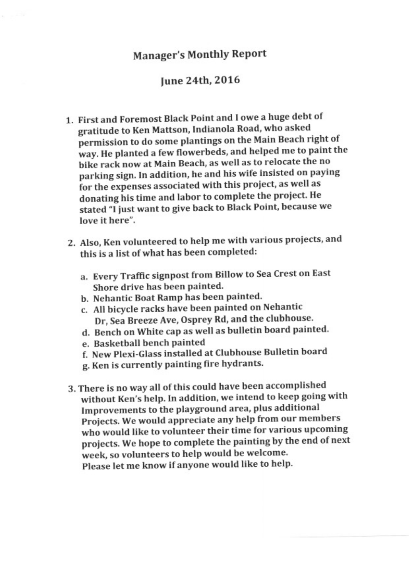# June 24th, 2016

- 1. First and Foremost Black Point and I owe a huge debt of gratitude to Ken Mattson, Indianola Road, who asked permission to do some plantings on the Main Beach right of way. He planted a few flowerbeds, and helped me to paint the bike rack now at Main Beach, as well as to relocate the no parking sign. In addition, he and his wife insisted on paying for the expenses associated with this project, as well as donating his time and labor to complete the project. He stated "I just want to give back to Black Point, because we love it here".
- 2. Also, Ken volunteered to help me with various projects, and this is a list of what has been completed:
	- a. Every Traffic signpost from Billow to Sea Crest on East Shore drive has been painted.
	- b. Nehantic Boat Ramp has been painted.
	- c. All bicycle racks have been painted on Nehantic Dr, Sea Breeze Ave, Osprey Rd, and the clubhouse.
	- d. Bench on White cap as well as bulletin board painted.
	- e. Basketball bench painted
	- f. New Plexi-Glass installed at Clubhouse Bulletin board
	- g. Ken is currently painting fire hydrants.
- 3. There is no way all of this could have been accomplished without Ken's help. In addition, we intend to keep going with Improvements to the playground area, plus additional Projects. We would appreciate any help from our members who would like to volunteer their time for various upcoming projects. We hope to complete the painting by the end of next week, so volunteers to help would be welcome. Please let me know if anyone would like to help.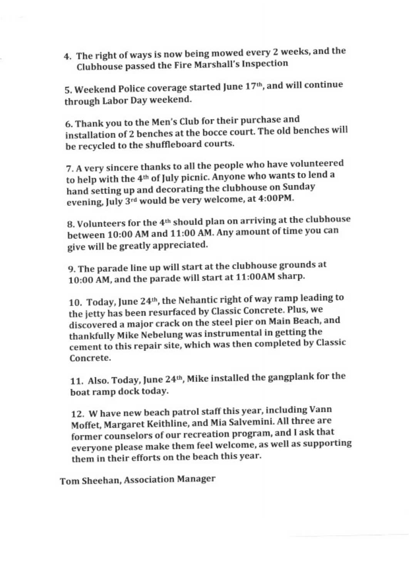4. The right of ways is now being mowed every 2 weeks, and the Clubhouse passed the Fire Marshall's Inspection

5. Weekend Police coverage started June 17th, and will continue through Labor Day weekend.

6. Thank you to the Men's Club for their purchase and installation of 2 benches at the bocce court. The old benches will be recycled to the shuffleboard courts.

7. A very sincere thanks to all the people who have volunteered to help with the 4<sup>th</sup> of July picnic. Anyone who wants to lend a hand setting up and decorating the clubhouse on Sunday evening, July 3rd would be very welcome, at 4:00PM.

8. Volunteers for the 4<sup>th</sup> should plan on arriving at the clubhouse between 10:00 AM and 11:00 AM. Any amount of time you can give will be greatly appreciated.

9. The parade line up will start at the clubhouse grounds at 10:00 AM, and the parade will start at 11:00AM sharp.

10. Today, June 24th, the Nehantic right of way ramp leading to the jetty has been resurfaced by Classic Concrete. Plus, we discovered a major crack on the steel pier on Main Beach, and thankfully Mike Nebelung was instrumental in getting the cement to this repair site, which was then completed by Classic Concrete.

11. Also. Today, June 24th, Mike installed the gangplank for the boat ramp dock today.

12. W have new beach patrol staff this year, including Vann Moffet, Margaret Keithline, and Mia Salvemini. All three are former counselors of our recreation program, and I ask that everyone please make them feel welcome, as well as supporting them in their efforts on the beach this year.

Tom Sheehan, Association Manager